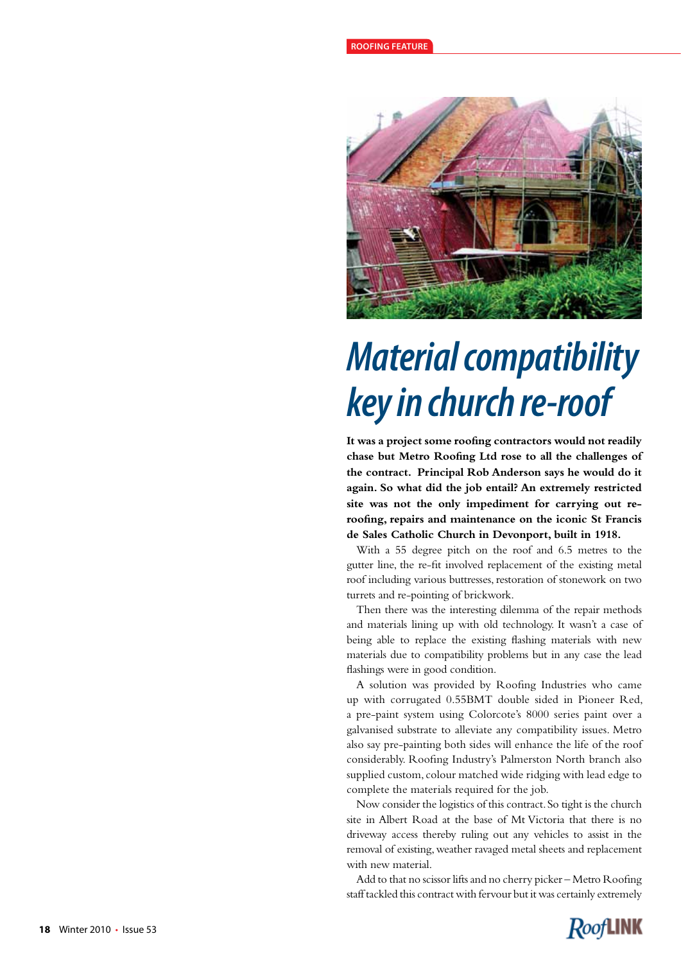

## *Material compatibility key in church re-roof*

**It was a project some roofing contractors would not readily chase but Metro Roofing Ltd rose to all the challenges of the contract. Principal Rob Anderson says he would do it again. So what did the job entail? An extremely restricted site was not the only impediment for carrying out reroofing, repairs and maintenance on the iconic St Francis de Sales Catholic Church in Devonport, built in 1918.** 

With a 55 degree pitch on the roof and 6.5 metres to the gutter line, the re-fit involved replacement of the existing metal roof including various buttresses, restoration of stonework on two turrets and re-pointing of brickwork.

Then there was the interesting dilemma of the repair methods and materials lining up with old technology. It wasn't a case of being able to replace the existing flashing materials with new materials due to compatibility problems but in any case the lead flashings were in good condition.

A solution was provided by Roofing Industries who came up with corrugated 0.55BMT double sided in Pioneer Red, a pre-paint system using Colorcote's 8000 series paint over a galvanised substrate to alleviate any compatibility issues. Metro also say pre-painting both sides will enhance the life of the roof considerably. Roofing Industry's Palmerston North branch also supplied custom, colour matched wide ridging with lead edge to complete the materials required for the job.

Now consider the logistics of this contract. So tight is the church site in Albert Road at the base of Mt Victoria that there is no driveway access thereby ruling out any vehicles to assist in the removal of existing, weather ravaged metal sheets and replacement with new material.

Add to that no scissor lifts and no cherry picker – Metro Roofing staff tackled this contract with fervour but it was certainly extremely